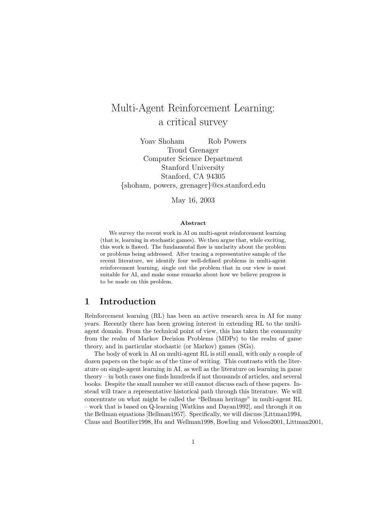# Multi-Agent Reinforcement Learning:<br>a critical survey a critical survey

Yoav Shoham Rob Powers Trond Grenager Computer Science Department Stanford University Stanford, CA 94305 {shoham, powers, grenager}@cs.stanford.edu

May 16, 2003

#### **Abstract**

We survey the recent work in AI on multi-agent reinforcement learning (that is, learning in stochastic games). We then argue that, while exciting, this work is flawed. The fundamental flaw is unclarity about the problem or problems being addressed. After tracing a representative sample of the recent literature, we identify four well-defined problems in multi-agent reinforcement learning, single out the problem that in our view is most suitable for AI, and make some remarks about how we believe progress is to be made on this problem.

#### **1 Introduction**

Reinforcement learning (RL) has been an active research area in AI for many years. Recently there has been growing interest in extending RL to the multiagent domain. From the technical point of view, this has taken the community from the realm of Markov Decision Problems (MDPs) to the realm of game theory, and in particular stochastic (or Markov) games (SGs).

The body of work in AI on multi-agent RL is still small, with only a couple of dozen papers on the topic as of the time of writing. This contrasts with the literature on single-agent learning in AI,as well as the literature on learning in game  $theory - in$  both cases one finds hundreds if not thousands of articles, and several books. Despite the small number we still cannot discuss each of these papers. Instead will trace a representative historical path through this literature. We will concentrate on what might be called the "Bellman heritage" in multi-agent RL  $-$  work that is based on Q-learning [Watkins and Dayan1992], and through it on the Bellman equations [Bellman1957]. Specifically, we will discuss [Littman1994, Claus and Boutilier1998, Hu and Wellman1998, Bowling and Veloso2001, Littman2001,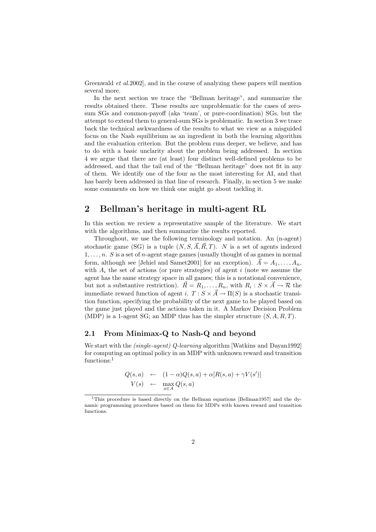Greenwald *et al.* 2002], and in the course of analyzing these papers will mention several more.

In the next section we trace the "Bellman heritage", and summarize the results obtained there. These results are unproblematic for the cases of zerosum SGs and common-payoff (aka 'team', or pure-coordination) SGs, but the attempt to extend them to general-sum SGs is problematic. In section 3 we trace back the technical awkwardness of the results to what we view as a misguided focus on the Nash equilibrium as an ingredient in both the learning algorithm and the evaluation criterion. But the problem runs deeper, we believe, and has to do with a basic unclarity about the problem being addressed. In section 4 we argue that there are (at least) four distinct well-defined problems to be addressed, and that the tail end of the "Bellman heritage" does not fit in any of them. We identify one of the four as the most interesting for AI,and that has barely been addressed in that line of research. Finally, in section 5 we make some comments on how we think one might go about tackling it.

#### **2 Bellman's heritage in multi-agent RL**

In this section we review a representative sample of the literature. We start with the algorithms, and then summarize the results reported.

Throughout, we use the following terminology and notation. An (n-agent) stochastic game (SG) is a tuple  $(N, S, \vec{A}, \vec{R}, T)$ . N is a set of agents indexed  $1, \ldots, n$ . S is a set of *n*-agent stage games (usually thought of as games in normal form, although see [Jehiel and Samet2001] for an exception).  $\vec{A} = A_1, \ldots, A_n$ , with  $A_i$  the set of actions (or pure strategies) of agent i (note we assume the agent has the same strategy space in all games; this is a notational convenience, but not a substantive restriction).  $\vec{R} = R_1, \ldots, R_n$ , with  $R_i : S \times \vec{A} \rightarrow \mathcal{R}$  the immediate reward function of agent i.  $T : S \times \vec{A} \to \Pi(S)$  is a stochastic transition function, specifying the probability of the next game to be played based on the game just played and the actions taken in it. A Markov Decision Problem (MDP) is a 1-agent SG; an MDP thus has the simpler structure  $(S, A, R, T)$ .

#### **2.1 From Minimax-Q to Nash-Q and beyond**

We start with the *(single-agent) Q-learning* algorithm [Watkins and Dayan1992] for computing an optimal policy in an MDP with unknown reward and transition functions:<sup>1</sup>

$$
Q(s, a) \leftarrow (1 - \alpha)Q(s, a) + \alpha[R(s, a) + \gamma V(s')] V(s) \leftarrow \max_{a \in A} Q(s, a)
$$

<sup>&</sup>lt;sup>1</sup>This procedure is based directly on the Bellman equations [Bellman1957] and the dynamic programming procedures based on them for MDPs with known reward and transition functions.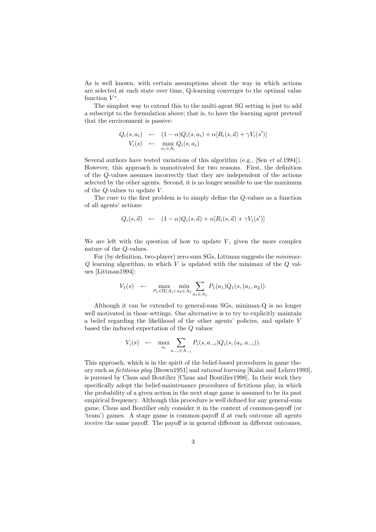As is well known, with certain assumptions about the way in which actions are selected at each state over time,Q-learning converges to the optimal value function  $V^*$ .

The simplest way to extend this to the multi-agent SG setting is just to add a subscript to the formulation above; that is, to have the learning agent pretend that the environment is passive:

$$
Q_i(s, a_i) \leftarrow (1 - \alpha)Q_i(s, a_i) + \alpha [R_i(s, \vec{a}) + \gamma V_i(s')] V_i(s) \leftarrow \max_{a_i \in A_i} Q_i(s, a_i)
$$

Several authors have tested variations of this algorithm (e.g., [Sen *et al.*1994]). However, this approach is unmotivated for two reasons. First, the definition of the Q-values assumes incorrectly that they are independent of the actions selected by the other agents. Second, it is no longer sensible to use the maximum of the  $Q$ -values to update  $V$ .

The cure to the first problem is to simply define the Q-values as a function of all agents' actions:

$$
Q_i(s, \vec{a}) \quad \leftarrow \quad (1 - \alpha) Q_i(s, \vec{a}) + \alpha [R_i(s, \vec{a}) + \gamma V_i(s')] \tag{9}
$$

We are left with the question of how to update  $V$ , given the more complex nature of the Q-values.

For (by definition, two-player) zero-sum SGs, Littman suggests the *minimax*- $Q$  learning algorithm, in which  $V$  is updated with the minimax of the  $Q$  values [Littman1994]:

$$
V_1(s) \leftarrow \max_{P_1 \in \Pi(A_1)} \min_{a_2 \in A_2} \sum_{a_1 \in A_1} P_1(a_1) Q_1(s, (a_1, a_2)).
$$

Although it can be extended to general-sum  $SGs$ , minimax- $Q$  is no longer well motivated in those settings. One alternative is to try to explicitly maintain a belief regarding the likelihood of the other agents' policies, and update  $V$ based the induced expectation of the Q values:

$$
V_i(s) \leftarrow \max_{a_i} \sum_{a_{-i} \in A_{-i}} P_i(s, a_{-i}) Q_i(s, (a_i, a_{-i})).
$$

This approach, which is in the spirit of the belief-based procedures in game theory such as *fictitious play* [Brown1951] and *rational learning* [Kalai and Lehrer1993], is pursued by Claus and Boutilier [Claus and Boutilier1998]. In their work they specifically adopt the belief-maintenance procedures of fictitious play, in which the probability of a given action in the next stage game is assumed to be its past empirical frequency. Although this procedure is well defined for any general-sum game,Claus and Boutilier only consider it in the context of common-payoff (or 'team') games. A stage game is common-payoff if at each outcome all agents receive the same payoff. The payoff is in general different in different outcomes,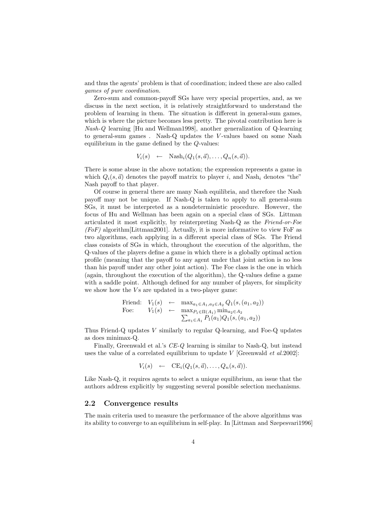and thus the agents' problem is that of coordination; indeed these are also called *games of pure coordination.*

Zero-sum and common-payoff SGs have very special properties, and, as we discuss in the next section, it is relatively straightforward to understand the problem of learning in them. The situation is different in general-sum games, which is where the picture becomes less pretty. The pivotal contribution here is *Nash-Q* learning [Hu and Wellman1998], another generalization of Q-learning to general-sum games . Nash-Q updates the V -values based on some Nash equilibrium in the game defined by the  $Q$ -values:

$$
V_i(s) \leftarrow \text{Nash}_i(Q_1(s, \vec{a}), \dots, Q_n(s, \vec{a})).
$$

There is some abuse in the above notation; the expression represents a game in which  $Q_i(s, \vec{a})$  denotes the payoff matrix to player i, and Nash<sub>i</sub> denotes "the" Nash payoff to that player.

Of course in general there are many Nash equilibria, and therefore the Nash payoff may not be unique. If Nash-Q is taken to apply to all general-sum SGs, it must be interpreted as a nondeterministic procedure. However, the focus of Hu and Wellman has been again on a special class of SGs. Littman articulated it most explicitly,by reinterpreting Nash-Q as the *Friend-or-Foe*  $(FoF)$  algorithm [Littman2001]. Actually, it is more informative to view FoF as two algorithms, each applying in a different special class of SGs. The Friend class consists of SGs in which, throughout the execution of the algorithm, the Q-values of the players define a game in which there is a globally optimal action profile (meaning that the payoff to any agent under that joint action is no less than his payoff under any other joint action). The Foe class is the one in which (again, throughout the execution of the algorithm), the Q-values define a game with a saddle point. Although defined for any number of players, for simplicity we show how the  $Vs$  are updated in a two-player game:

$$
\begin{array}{rcl}\n\text{Friend:} & V_1(s) & \leftarrow & \max_{a_1 \in A_1, a_2 \in A_2} Q_1(s, (a_1, a_2)) \\
\text{Foe:} & V_1(s) & \leftarrow & \max_{P_1 \in \Pi(A_1)} \min_{a_2 \in A_2} \sum_{a_1 \in A_1} P_1(a_1) Q_1(s, (a_1, a_2))\n\end{array}
$$

Thus Friend-Q updates  $V$  similarly to regular Q-learning, and Foe-Q updates as does minimax-Q.

Finally, Greenwald et al.'s *CE-Q* learning is similar to Nash-Q, but instead uses the value of a correlated equilibrium to update V [Greenwald *et al.*2002]:

$$
V_i(s) \leftarrow \mathbf{CE}_i(Q_1(s, \vec{a}), \dots, Q_n(s, \vec{a})).
$$

Like Nash- $Q$ , it requires agents to select a unique equilibrium, an issue that the authors address explicitly by suggesting several possible selection mechanisms.

#### **2.2 Convergence results**

The main criteria used to measure the performance of the above algorithms was its ability to converge to an equilibrium in self-play. In [Littman and Szepesvari1996]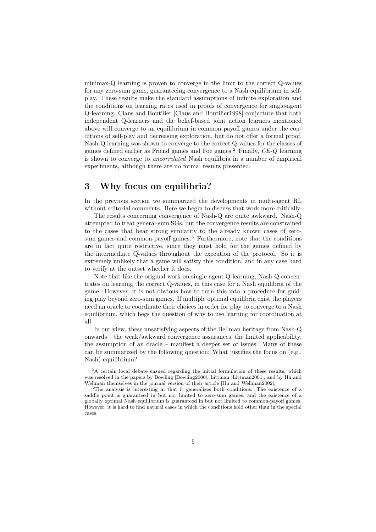minimax-Q learning is proven to converge in the limit to the correct Q-values for any zero-sum game, guaranteeing convergence to a Nash equilibrium in selfplay. These results make the standard assumptions of infinite exploration and the conditions on learning rates used in proofs of convergence for single-agent Q-learning. Claus and Boutilier [Claus and Boutilier1998] conjecture that both independent Q-learners and the belief-based joint action learners mentioned above will converge to an equilibrium in common payoff games under the conditions of self-play and decreasing exploration, but do not offer a formal proof. Nash-Q learning was shown to converge to the correct Q-values for the classes of games defined earlier as Friend games and Foe games.<sup>2</sup> Finally, *CE-Q* learning is shown to converge to *uncorrelated* Nash equilibria in a number of empirical experiments, although there are no formal results presented.

### **3 Why focus on equilibria?**

In the previous section we summarized the developments in multi-agent RL without editorial comments. Here we begin to discuss that work more critically.

The results concerning convergence of Nash-Q are quite awkward. Nash-Q attempted to treat general-sum SGs,but the convergence results are constrained to the cases that bear strong similarity to the already known cases of zerosum games and common-payoff games. $3$  Furthermore, note that the conditions are in fact quite restrictive, since they must hold for the games defined by the intermediate Q-values throughout the execution of the protocol. So it is extremely unlikely that a game will satisfy this condition,and in any case hard to verify at the outset whether it does.

Note that like the original work on single agent Q-learning, Nash-Q concentrates on learning the correct Q-values,in this case for a Nash equilibria of the game. However, it is not obvious how to turn this into a procedure for guiding play beyond zero-sum games. If multiple optimal equilibria exist the players need an oracle to coordinate their choices in order for play to converge to a Nash equilibrium, which begs the question of why to use learning for coordination at all.

In our view, these unsatisfying aspects of the Bellman heritage from Nash-Q onwards – the weak/awkward convergence assurances, the limited applicability, the assumption of an oracle – manifest a deeper set of issues. Many of these can be summarized by the following question: What justifies the focus on (e.g., Nash) equilibrium?

<sup>&</sup>lt;sup>2</sup>A certain local debate ensued regarding the initial formulation of these results, which was resolved in the papers by Bowling [Bowling2000], Littman [Littman2001], and by Hu and Wellman themselves in the journal version of their article [Hu and Wellman2002].

<sup>3</sup>The analysis is interesting in that it generalizes both conditions: The existence of a saddle point is guaranteed in but not limited to zero-sum games, and the existence of a globally optimal Nash equilibrium is guaranteed in but not limited to common-payoff games. However, it is hard to find natural cases in which the conditions hold other than in the special cases.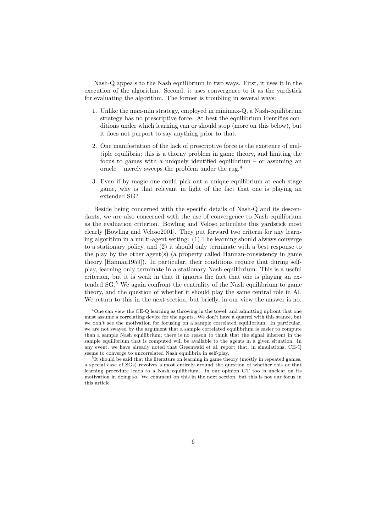Nash-Q appeals to the Nash equilibrium in two ways. First, it uses it in the execution of the algorithm. Second, it uses convergence to it as the yardstick for evaluating the algorithm. The former is troubling in several ways:

- 1. Unlike the max-min strategy,employed in minimax-Q,a Nash-equilibrium strategy has no prescriptive force. At best the equilibrium identifies conditions under which learning can or should stop (more on this below), but it does not purport to say anything prior to that.
- 2. One manifestation of the lack of prescriptive force is the existence of multiple equilibria; this is a thorny problem in game theory, and limiting the focus to games with a uniquely identified equilibrium – or assuming an oracle – merely sweeps the problem under the rug. $4$
- 3. Even if by magic one could pick out a unique equilibrium at each stage game, why is that relevant in light of the fact that one is playing an extended SG?

Beside being concerned with the specific details of Nash-Q and its descendants, we are also concerned with the use of convergence to Nash equilibrium as the evaluation criterion. Bowling and Veloso articulate this yardstick most clearly [Bowling and Veloso2001]. They put forward two criteria for any learning algorithm in a multi-agent setting: (1) The learning should always converge to a stationary policy, and (2) it should only terminate with a best response to the play by the other agent(s) (a property called Hannan-consistency in game theory  $[Hannan1959]$ . In particular, their conditions require that during selfplay, learning only terminate in a stationary Nash equilibrium. This is a useful criterion, but it is weak in that it ignores the fact that one is playing an extended SG.<sup>5</sup> We again confront the centrality of the Nash equilibrium to game theory, and the question of whether it should play the same central role in AI. We return to this in the next section, but briefly, in our view the answer is no.

<sup>&</sup>lt;sup>4</sup>One can view the CE-Q learning as throwing in the towel, and admitting upfront that one must assume a correlating device for the agents. We don't have a quarrel with this stance, but we don't see the motivation for focusing on a sample correlated equilibrium. In particular, we are not swayed by the argument that a sample correlated equilibrium is easier to compute than a sample Nash equilibrium; there is no reason to think that the signal inherent in the sample equilibrium that is computed will be available to the agents in a given situation. In any event, we have already noted that Greenwald et al. report that, in simulations, CE-Q seems to converge to uncorrelated Nash equilibria in self-play.

<sup>&</sup>lt;sup>5</sup>It should be said that the literature on learning in game theory (mostly in repeated games, a special case of SGs) revolves almost entirely around the question of whether this or that learning procedure leads to a Nash equilibrium. In our opinion GT too is unclear on its motivation in doing so. We comment on this in the next section, but this is not our focus in this article.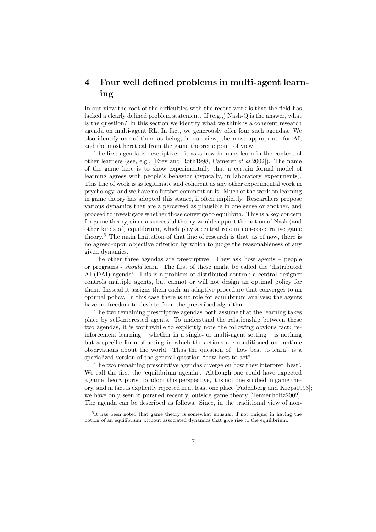## **4 Four well defined problems in multi-agent learning**

In our view the root of the difficulties with the recent work is that the field has lacked a clearly defined problem statement. If (e.g.,) Nash-Q is the answer, what is the question? In this section we identify what we think is a coherent research agenda on multi-agent RL. In fact, we generously offer four such agendas. We also identify one of them as being, in our view, the most appropriate for AI, and the most heretical from the game theoretic point of view.

The first agenda is descriptive – it asks how humans learn in the context of other learners (see,e.g.,[Erev and Roth1998,Camerer *et al.*2002]). The name of the game here is to show experimentally that a certain formal model of learning agrees with people's behavior (typically, in laboratory experiments). This line of work is as legitimate and coherent as any other experimental work in psychology,and we have no further comment on it. Much of the work on learning in game theory has adopted this stance, if often implicitly. Researchers propose various dynamics that are a perceived as plausible in one sense or another, and proceed to investigate whether those converge to equilibria. This is a key concern for game theory, since a successful theory would support the notion of Nash (and other kinds of) equilibrium, which play a central role in non-cooperative game theory.<sup>6</sup> The main limitation of that line of research is that, as of now, there is no agreed-upon objective criterion by which to judge the reasonableness of any given dynamics.

The other three agendas are prescriptive. They ask how agents – people or programs - *should* learn. The first of these might be called the 'distributed AI (DAI) agenda'. This is a problem of distributed control; a central designer controls multiple agents, but cannot or will not design an optimal policy for them. Instead it assigns them each an adaptive procedure that converges to an optimal policy. In this case there is no role for equilibrium analysis; the agents have no freedom to deviate from the prescribed algorithm.

The two remaining prescriptive agendas both assume that the learning takes place by self-interested agents. To understand the relationship between these two agendas, it is worthwhile to explicitly note the following obvious fact: reinforcement learning – whether in a single- or multi-agent setting – is nothing but a specific form of acting in which the actions are conditioned on runtime observations about the world. Thus the question of "how best to learn" is a specialized version of the general question "how best to act".

The two remaining prescriptive agendas diverge on how they interpret 'best'. We call the first the 'equilibrium agenda'. Although one could have expected a game theory purist to adopt this perspective, it is not one studied in game theory,and in fact is explicitly rejected in at least one place [Fudenberg and Kreps1993]; we have only seen it pursued recently, outside game theory [Tennenholtz2002]. The agenda can be described as follows. Since, in the traditional view of non-

 $6$ It has been noted that game theory is somewhat unusual, if not unique, in having the notion of an equilibrium without associated dynamics that give rise to the equilibrium.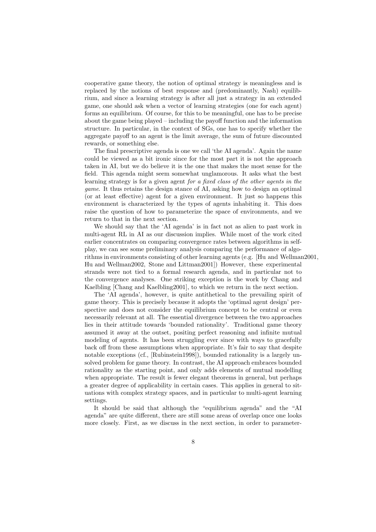cooperative game theory, the notion of optimal strategy is meaningless and is replaced by the notions of best response and (predominantly, Nash) equilibrium,and since a learning strategy is after all just a strategy in an extended game, one should ask when a vector of learning strategies (one for each agent) forms an equilibrium. Of course, for this to be meaningful, one has to be precise about the game being played – including the payoff function and the information structure. In particular, in the context of SGs, one has to specify whether the aggregate payoff to an agent is the limit average, the sum of future discounted rewards, or something else.

The final prescriptive agenda is one we call 'the AI agenda'. Again the name could be viewed as a bit ironic since for the most part it is not the approach taken in AI, but we do believe it is the one that makes the most sense for the field. This agenda might seem somewhat unglamorous. It asks what the best learning strategy is for a given agent *for a fixed class of the other agents in the game*. It thus retains the design stance of AI, asking how to design an optimal (or at least effective) agent for a given environment. It just so happens this environment is characterized by the types of agents inhabiting it. This does raise the question of how to parameterize the space of environments, and we return to that in the next section.

We should say that the 'AI agenda' is in fact not as alien to past work in multi-agent RL in AI as our discussion implies. While most of the work cited earlier concentrates on comparing convergence rates between algorithms in selfplay,we can see some preliminary analysis comparing the performance of algorithms in environments consisting of other learning agents (e.g. [Hu and Wellman2001, Hu and Wellman2002, Stone and Littman2001) However, these experimental strands were not tied to a formal research agenda, and in particular not to the convergence analyses. One striking exception is the work by Chang and Kaelbling [Chang and Kaelbling2001], to which we return in the next section.

The 'AI agenda', however, is quite antithetical to the prevailing spirit of game theory. This is precisely because it adopts the 'optimal agent design' perspective and does not consider the equilibrium concept to be central or even necessarily relevant at all. The essential divergence between the two approaches lies in their attitude towards 'bounded rationality'. Traditional game theory assumed it away at the outset, positing perfect reasoning and infinite mutual modeling of agents. It has been struggling ever since with ways to gracefully back off from these assumptions when appropriate. It's fair to say that despite notable exceptions (cf., [Rubinstein1998]), bounded rationality is a largely unsolved problem for game theory. In contrast, the AI approach embraces bounded rationality as the starting point, and only adds elements of mutual modelling when appropriate. The result is fewer elegant theorems in general, but perhaps a greater degree of applicability in certain cases. This applies in general to situations with complex strategy spaces,and in particular to multi-agent learning settings.

It should be said that although the "equilibrium agenda" and the "AI agenda" are quite different, there are still some areas of overlap once one looks more closely. First, as we discuss in the next section, in order to parameter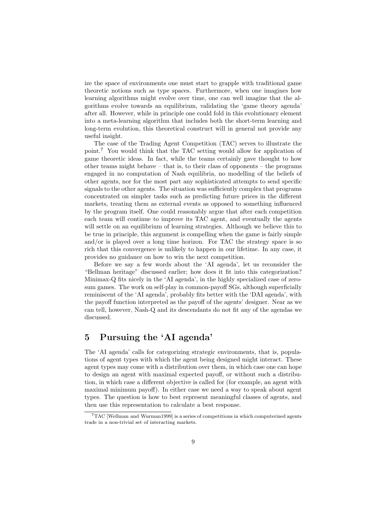ize the space of environments one must start to grapple with traditional game theoretic notions such as type spaces. Furthermore, when one imagines how learning algorithms might evolve over time, one can well imagine that the algorithms evolve towards an equilibrium, validating the 'game theory agenda' after all. However, while in principle one could fold in this evolutionary element into a meta-learning algorithm that includes both the short-term learning and long-term evolution, this theoretical construct will in general not provide any useful insight.

The case of the Trading Agent Competition (TAC) serves to illustrate the point.<sup>7</sup> You would think that the TAC setting would allow for application of game theoretic ideas. In fact,while the teams certainly gave thought to how other teams might behave  $-$  that is, to their class of opponents  $-$  the programs engaged in no computation of Nash equilibria, no modelling of the beliefs of other agents, nor for the most part any sophisticated attempts to send specific signals to the other agents. The situation was sufficiently complex that programs concentrated on simpler tasks such as predicting future prices in the different markets, treating them as external events as opposed to something influenced by the program itself. One could reasonably argue that after each competition each team will continue to improve its TAC agent, and eventually the agents will settle on an equilibrium of learning strategies. Although we believe this to be true in principle, this argument is compelling when the game is fairly simple and/or is played over a long time horizon. For TAC the strategy space is so rich that this convergence is unlikely to happen in our lifetime. In any case, it provides no guidance on how to win the next competition.

Before we say a few words about the 'AI agenda', let us reconsider the "Bellman heritage" discussed earlier; how does it fit into this categorization? Minimax-Q fits nicely in the 'AI agenda', in the highly specialized case of zerosum games. The work on self-play in common-payoff SGs, although superficially reminiscent of the 'AI agenda', probably fits better with the 'DAI agenda', with the payoff function interpreted as the payoff of the agents' designer. Near as we can tell, however, Nash-Q and its descendants do not fit any of the agendas we discussed.

## **5 Pursuing the 'AI agenda'**

The 'AI agenda' calls for categorizing strategic environments, that is, populations of agent types with which the agent being designed might interact. These agent types may come with a distribution over them, in which case one can hope to design an agent with maximal expected payoff, or without such a distribution, in which case a different objective is called for (for example, an agent with maximal minimum payoff). In either case we need a way to speak about agent types. The question is how to best represent meaningful classes of agents, and then use this representation to calculate a best response.

<sup>7</sup>TAC [Wellman and Wurman1999] is a series of competitions in which computerized agents trade in a non-trivial set of interacting markets.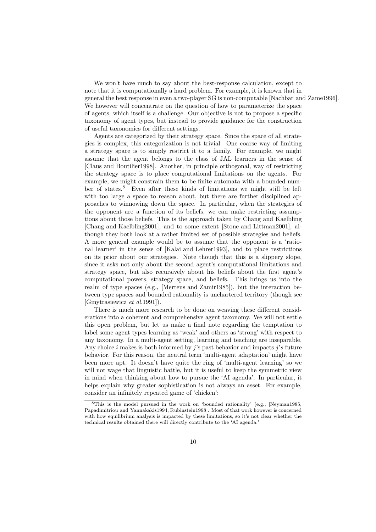We won't have much to say about the best-response calculation, except to note that it is computationally a hard problem. For example, it is known that in general the best response in even a two-player SG is non-computable [Nachbar and Zame1996]. We however will concentrate on the question of how to parameterize the space of agents,which itself is a challenge. Our objective is not to propose a specific taxonomy of agent types, but instead to provide guidance for the construction of useful taxonomies for different settings.

Agents are categorized by their strategy space. Since the space of all strategies is complex, this categorization is not trivial. One coarse way of limiting a strategy space is to simply restrict it to a family. For example,we might assume that the agent belongs to the class of JAL learners in the sense of [Claus and Boutilier1998]. Another, in principle orthogonal, way of restricting the strategy space is to place computational limitations on the agents. For example, we might constrain them to be finite automata with a bounded number of states.<sup>8</sup> Even after these kinds of limitations we might still be left with too large a space to reason about, but there are further disciplined approaches to winnowing down the space. In particular,when the strategies of the opponent are a function of its beliefs, we can make restricting assumptions about those beliefs. This is the approach taken by Chang and Kaelbling [Chang and Kaelbling2001], and to some extent [Stone and Littman2001], although they both look at a rather limited set of possible strategies and beliefs. A more general example would be to assume that the opponent is a 'rational learner' in the sense of [Kalai and Lehrer1993], and to place restrictions on its prior about our strategies. Note though that this is a slippery slope, since it asks not only about the second agent's computational limitations and strategy space, but also recursively about his beliefs about the first agent's computational powers, strategy space, and beliefs. This brings us into the realm of type spaces (e.g., [Mertens and Zamir1985]), but the interaction between type spaces and bounded rationality is unchartered territory (though see [Gmytrasiewicz *et al.*1991]).

There is much more research to be done on weaving these different considerations into a coherent and comprehensive agent taxonomy. We will not settle this open problem, but let us make a final note regarding the temptation to label some agent types learning as 'weak' and others as 'strong' with respect to any taxonomy. In a multi-agent setting, learning and teaching are inseparable. Any choice i makes is both informed by j's past behavior and impacts j's future behavior. For this reason, the neutral term 'multi-agent adaptation' might have been more apt. It doesn't have quite the ring of 'multi-agent learning' so we will not wage that linguistic battle, but it is useful to keep the symmetric view in mind when thinking about how to pursue the 'AI agenda'. In particular, it helps explain why greater sophistication is not always an asset. For example, consider an infinitely repeated game of 'chicken':

<sup>8</sup>This is the model pursued in the work on 'bounded rationality' (e.g., [Neyman1985, Papadimitriou and Yannakakis1994, Rubinstein1998]. Most of that work however is concerned with how equilibrium analysis is impacted by these limitations, so it's not clear whether the technical results obtained there will directly contribute to the 'AI agenda.'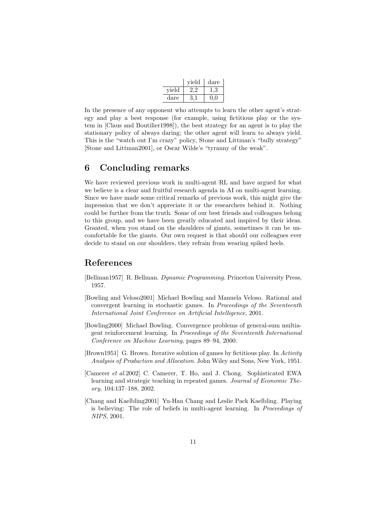|       | vield | dare |
|-------|-------|------|
| vield |       |      |
| dare  |       |      |

In the presence of any opponent who attempts to learn the other agent's strategy and play a best response (for example, using fictitious play or the system in  $\lbrack$ Claus and Boutilier1998 $\rbrack$ ), the best strategy for an agent is to play the stationary policy of always daring; the other agent will learn to always yield. This is the "watch out I'm crazy" policy, Stone and Littman's "bully strategy" [Stone and Littman2001], or Oscar Wilde's "tyranny of the weak".

#### **6 Concluding remarks**

We have reviewed previous work in multi-agent RL and have argued for what we believe is a clear and fruitful research agenda in AI on multi-agent learning. Since we have made some critical remarks of previous work, this might give the impression that we don't appreciate it or the researchers behind it. Nothing could be further from the truth. Some of our best friends and colleagues belong to this group, and we have been greatly educated and inspired by their ideas. Granted, when you stand on the shoulders of giants, sometimes it can be uncomfortable for the giants. Our own request is that should our colleagues ever decide to stand on our shoulders, they refrain from wearing spiked heels.

#### **References**

- [Bellman1957] R. Bellman. *Dynamic Programming*. Princeton University Press, 1957.
- [Bowling and Veloso2001] Michael Bowling and Manuela Veloso. Rational and convergent learning in stochastic games. In *Proceedings of the Seventeenth International Joint Conference on Artificial Intelligence*, 2001.
- [Bowling2000] Michael Bowling. Convergence problems of general-sum multiagent reinforcement learning. In *Proceedings of the Seventeenth International Conference on Machine Learning*, pages 89–94, 2000.
- [Brown1951] G. Brown. Iterative solution of games by fictitious play. In *Activity* Analysis of Production and Allocation. John Wiley and Sons, New York, 1951.
- [Camerer *et al.*2002] C. Camerer, T. Ho, and J. Chong. Sophisticated EWA learning and strategic teaching in repeated games. *Journal of Economic Theory*,104:137–188,2002.
- [Chang and Kaelbling2001] Yu-Han Chang and Leslie Pack Kaelbling. Playing is believing: The role of beliefs in multi-agent learning. In *Proceedings of NIPS*,2001.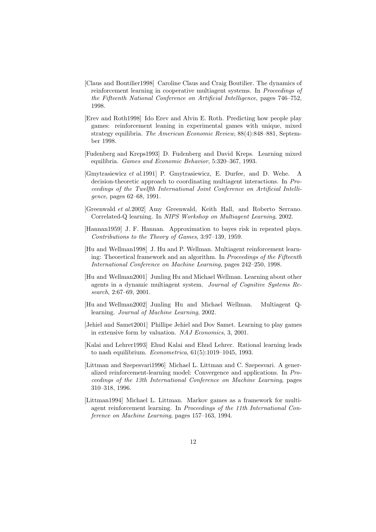- [Claus and Boutilier1998] Caroline Claus and Craig Boutilier. The dynamics of reinforcement learning in cooperative multiagent systems. In *Proceedings of the Fifteenth National Conference on Artificial Intelligence*, pages 746–752, 1998.
- [Erev and Roth1998] Ido Erev and Alvin E. Roth. Predicting how people play games: reinforcement leaning in experimental games with unique, mixed strategy equilibria. *The American Economic Review*,  $88(4):848-881$ , September 1998.
- [Fudenberg and Kreps1993] D. Fudenberg and David Kreps. Learning mixed equilibria. *Games and Economic Behavior*, 5:320-367, 1993.
- [Gmytrasiewicz *et al.*1991] P. Gmytrasiewicz, E. Durfee, and D. Wehe. A decision-theoretic approach to coordinating multiagent interactions. In *Proceedings of the Twelfth International Joint Conference on Artificial Intelligence*, pages 62–68, 1991.
- [Greenwald *et al.*2002] Amy Greenwald, Keith Hall, and Roberto Serrano. Correlated-Q learning. In *NIPS Workshop on Multiagent Learning*, 2002.
- [Hannan1959] J. F. Hannan. Approximation to bayes risk in repeated plays. *Contributions to the Theory of Games,* 3:97–139, 1959.
- [Hu and Wellman1998] J. Hu and P. Wellman. Multiagent reinforcement learning: Theoretical framework and an algorithm. In *Proceedings of the Fifteenth International Conference on Machine Learning*, pages  $242-250$ , 1998.
- [Hu and Wellman2001] Junling Hu and Michael Wellman. Learning about other agents in a dynamic multiagent system. *Journal of Cognitive Systems Research*, 2:67–69, 2001.
- [Hu and Wellman2002] Junling Hu and Michael Wellman. Multiagent Qlearning. *Journal of Machine Learning*, 2002.
- [Jehiel and Samet2001] Phillipe Jehiel and Dov Samet. Learning to play games in extensive form by valuation. *NAJ Economics*,3,2001.
- [Kalai and Lehrer1993] Ehud Kalai and Ehud Lehrer. Rational learning leads to nash equilibrium. *Econometrica*,61(5):1019–1045,1993.
- [Littman and Szepesvari1996] Michael L. Littman and C. Szepesvari. A generalized reinforcement-learning model: Convergence and applications. In *Proceedings of the 13th International Conference on Machine Learning*, pages 310–318,1996.
- [Littman1994] Michael L. Littman. Markov games as a framework for multiagent reinforcement learning. In *Proceedings of the 11th International Conference on Machine Learning*, pages 157–163, 1994.